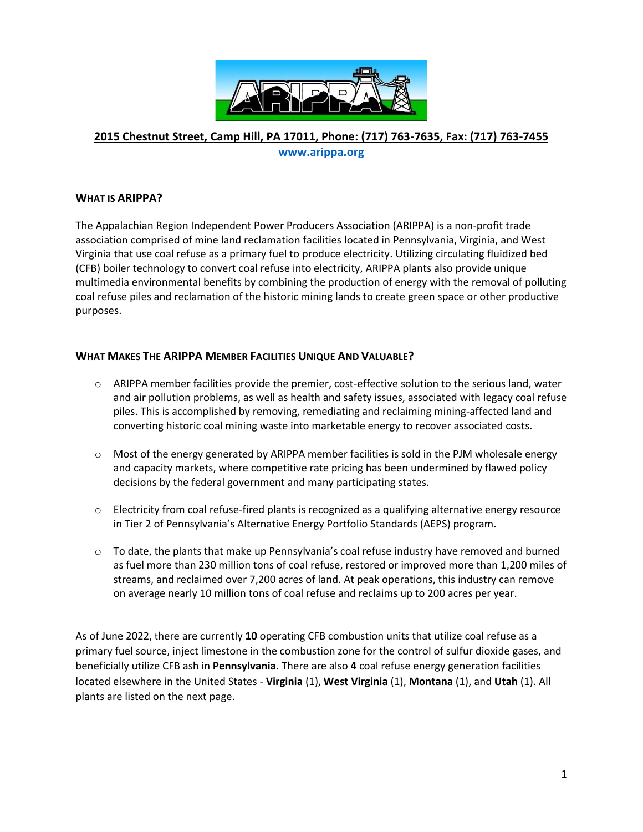

## **2015 Chestnut Street, Camp Hill, PA 17011, Phone: (717) 763-7635, Fax: (717) 763-7455 [www.arippa.org](http://www.arippa.org/)**

## **WHAT IS ARIPPA?**

The Appalachian Region Independent Power Producers Association (ARIPPA) is a non-profit trade association comprised of mine land reclamation facilities located in Pennsylvania, Virginia, and West Virginia that use coal refuse as a primary fuel to produce electricity. Utilizing circulating fluidized bed (CFB) boiler technology to convert coal refuse into electricity, ARIPPA plants also provide unique multimedia environmental benefits by combining the production of energy with the removal of polluting coal refuse piles and reclamation of the historic mining lands to create green space or other productive purposes.

## **WHAT MAKES THE ARIPPA MEMBER FACILITIES UNIQUE AND VALUABLE?**

- $\circ$  ARIPPA member facilities provide the premier, cost-effective solution to the serious land, water and air pollution problems, as well as health and safety issues, associated with legacy coal refuse piles. This is accomplished by removing, remediating and reclaiming mining-affected land and converting historic coal mining waste into marketable energy to recover associated costs.
- $\circ$  Most of the energy generated by ARIPPA member facilities is sold in the PJM wholesale energy and capacity markets, where competitive rate pricing has been undermined by flawed policy decisions by the federal government and many participating states.
- $\circ$  Electricity from coal refuse-fired plants is recognized as a qualifying alternative energy resource in Tier 2 of Pennsylvania's Alternative Energy Portfolio Standards (AEPS) program.
- $\circ$  To date, the plants that make up Pennsylvania's coal refuse industry have removed and burned as fuel more than 230 million tons of coal refuse, restored or improved more than 1,200 miles of streams, and reclaimed over 7,200 acres of land. At peak operations, this industry can remove on average nearly 10 million tons of coal refuse and reclaims up to 200 acres per year.

As of June 2022, there are currently **10** operating CFB combustion units that utilize coal refuse as a primary fuel source, inject limestone in the combustion zone for the control of sulfur dioxide gases, and beneficially utilize CFB ash in **Pennsylvania**. There are also **4** coal refuse energy generation facilities located elsewhere in the United States - **Virginia** (1), **West Virginia** (1), **Montana** (1), and **Utah** (1). All plants are listed on the next page.